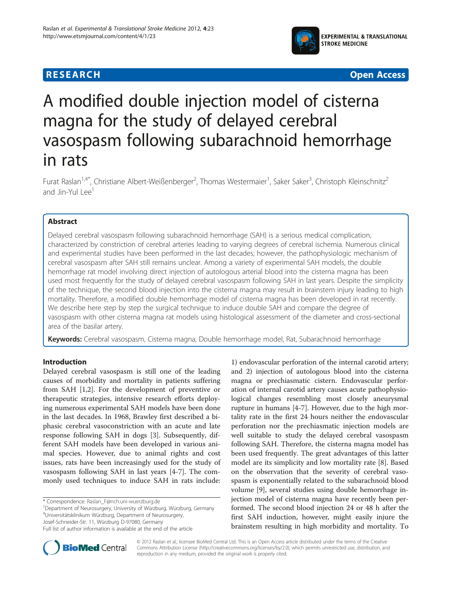

**RESEARCH CHINESE ARCH CHINESE ARCH CHINESE ARCH <b>CHINESE ARCH** 

# A modified double injection model of cisterna magna for the study of delayed cerebral vasospasm following subarachnoid hemorrhage in rats

Furat Raslan<sup>1,4\*</sup>, Christiane Albert-Weißenberger<sup>2</sup>, Thomas Westermaier<sup>1</sup>, Saker Saker<sup>3</sup>, Christoph Kleinschnitz<sup>2</sup> and Jin-Yul Lee<sup>1</sup>

# Abstract

Delayed cerebral vasospasm following subarachnoid hemorrhage (SAH) is a serious medical complication, characterized by constriction of cerebral arteries leading to varying degrees of cerebral ischemia. Numerous clinical and experimental studies have been performed in the last decades; however, the pathophysiologic mechanism of cerebral vasospasm after SAH still remains unclear. Among a variety of experimental SAH models, the double hemorrhage rat model involving direct injection of autologous arterial blood into the cisterna magna has been used most frequently for the study of delayed cerebral vasospasm following SAH in last years. Despite the simplicity of the technique, the second blood injection into the cisterna magna may result in brainstem injury leading to high mortality. Therefore, a modified double hemorrhage model of cisterna magna has been developed in rat recently. We describe here step by step the surgical technique to induce double SAH and compare the degree of vasospasm with other cisterna magna rat models using histological assessment of the diameter and cross-sectional area of the basilar artery.

Keywords: Cerebral vasospasm, Cisterna magna, Double hemorrhage model, Rat, Subarachnoid hemorrhage

# Introduction

Delayed cerebral vasospasm is still one of the leading causes of morbidity and mortality in patients suffering from SAH [\[1,2](#page-4-0)]. For the development of preventive or therapeutic strategies, intensive research efforts deploying numerous experimental SAH models have been done in the last decades. In 1968, Brawley first described a biphasic cerebral vasoconstriction with an acute and late response following SAH in dogs [\[3](#page-4-0)]. Subsequently, different SAH models have been developed in various animal species. However, due to animal rights and cost issues, rats have been increasingly used for the study of vasospasm following SAH in last years [\[4](#page-4-0)-[7\]](#page-4-0). The commonly used techniques to induce SAH in rats include:

\* Correspondence: [Raslan\\_F@nch.uni-wuerzburg.de](mailto:Raslan_F@nch.uni-wuerzburg.de) <sup>1</sup>

Department of Neurosurgery, University of Würzburg, Würzburg, Germany 4 Universitätsklinikum Würzburg, Department of Neurosurgery, Josef-Schneider-Str. 11, Würzburg D-97080, Germany

1) endovascular perforation of the internal carotid artery; and 2) injection of autologous blood into the cisterna magna or prechiasmatic cistern. Endovascular perforation of internal carotid artery causes acute pathophysiological changes resembling most closely aneurysmal rupture in humans [[4](#page-4-0)-[7\]](#page-4-0). However, due to the high mortality rate in the first 24 hours neither the endovascular perforation nor the prechiasmatic injection models are well suitable to study the delayed cerebral vasospasm following SAH. Therefore, the cisterna magna model has been used frequently. The great advantages of this latter model are its simplicity and low mortality rate [[8](#page-5-0)]. Based on the observation that the severity of cerebral vasospasm is exponentially related to the subarachnoid blood volume [\[9](#page-5-0)], several studies using double hemorrhage injection model of cisterna magna have recently been performed. The second blood injection 24 or 48 h after the first SAH induction, however, might easily injure the brainstem resulting in high morbidity and mortality. To



© 2012 Raslan et al.; licensee BioMed Central Ltd. This is an Open Access article distributed under the terms of the Creative Commons Attribution License [\(http://creativecommons.org/licenses/by/2.0\)](http://creativecommons.org/licenses/by/2.0), which permits unrestricted use, distribution, and reproduction in any medium, provided the original work is properly cited.

Full list of author information is available at the end of the article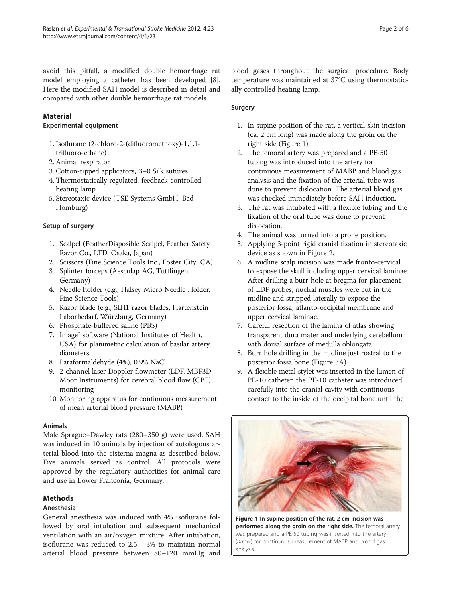avoid this pitfall, a modified double hemorrhage rat model employing a catheter has been developed [\[8](#page-5-0)]. Here the modified SAH model is described in detail and compared with other double hemorrhage rat models.

# **Material**

#### Experimental equipment

- 1. Isoflurane (2-chloro-2-(difluoromethoxy)-1,1,1 trifluoro-ethane)
- 2. Animal respirator
- 3. Cotton-tipped applicators, 3–0 Silk sutures
- 4. Thermostatically regulated, feedback-controlled heating lamp
- 5. Stereotaxic device (TSE Systems GmbH, Bad Homburg)

### Setup of surgery

- 1. Scalpel (FeatherDisposible Scalpel, Feather Safety Razor Co., LTD, Osaka, Japan)
- 2. Scissors (Fine Science Tools Inc., Foster City, CA)
- 3. Splinter forceps (Aesculap AG, Tuttlingen, Germany)
- 4. Needle holder (e.g., Halsey Micro Needle Holder, Fine Science Tools)
- 5. Razor blade (e.g., SIH1 razor blades, Hartenstein Laborbedarf, Würzburg, Germany)
- 6. Phosphate-buffered saline (PBS)
- 7. ImageJ software (National Institutes of Health, USA) for planimetric calculation of basilar artery diameters
- 8. Paraformaldehyde (4%), 0.9% NaCl
- 9. 2-channel laser Doppler flowmeter (LDF, MBF3D; Moor Instruments) for cerebral blood flow (CBF) monitoring
- 10. Monitoring apparatus for continuous measurement of mean arterial blood pressure (MABP)

#### Animals

Male Sprague–Dawley rats (280–350 g) were used. SAH was induced in 10 animals by injection of autologous arterial blood into the cisterna magna as described below. Five animals served as control. All protocols were approved by the regulatory authorities for animal care and use in Lower Franconia, Germany.

# Methods

#### Anesthesia

General anesthesia was induced with 4% isoflurane followed by oral intubation and subsequent mechanical ventilation with an air/oxygen mixture. After intubation, isoflurane was reduced to 2.5 - 3% to maintain normal arterial blood pressure between 80–120 mmHg and blood gases throughout the surgical procedure. Body temperature was maintained at 37°C using thermostatically controlled heating lamp.

### Surgery

- 1. In supine position of the rat, a vertical skin incision (ca. 2 cm long) was made along the groin on the right side (Figure 1).
- 2. The femoral artery was prepared and a PE-50 tubing was introduced into the artery for continuous measurement of MABP and blood gas analysis and the fixation of the arterial tube was done to prevent dislocation. The arterial blood gas was checked immediately before SAH induction.
- 3. The rat was intubated with a flexible tubing and the fixation of the oral tube was done to prevent dislocation.
- 4. The animal was turned into a prone position.
- 5. Applying 3-point rigid cranial fixation in stereotaxic device as shown in Figure [2](#page-2-0).
- 6. A midline scalp incision was made fronto-cervical to expose the skull including upper cervical laminae. After drilling a burr hole at bregma for placement of LDF probes, nuchal muscles were cut in the midline and stripped laterally to expose the posterior fossa, atlanto-occipital membrane and upper cervical laminae.
- 7. Careful resection of the lamina of atlas showing transparent dura mater and underlying cerebellum with dorsal surface of medulla oblongata.
- 8. Burr hole drilling in the midline just rostral to the posterior fossa bone (Figure [3A](#page-2-0)).
- 9. A flexible metal stylet was inserted in the lumen of PE-10 catheter, the PE-10 catheter was introduced carefully into the cranial cavity with continuous contact to the inside of the occipital bone until the



Figure 1 In supine position of the rat, 2 cm incision was performed along the groin on the right side. The femoral artery was prepared and a PE-50 tubing was inserted into the artery (arrow) for continuous measurement of MABP and blood gas analysis.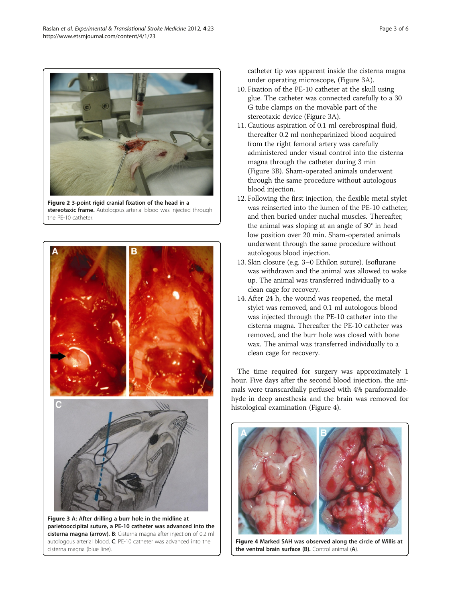Figure 2 3-point rigid cranial fixation of the head in a stereotaxic frame. Autologous arterial blood was injected through the PE-10 catheter.

R

т Figure 3 A: After drilling a burr hole in the midline at

parietooccipital suture, a PE-10 catheter was advanced into the cisterna magna (arrow). B: Cisterna magna after injection of 0.2 ml autologous arterial blood. C: PE-10 catheter was advanced into the cisterna magna (blue line).

catheter tip was apparent inside the cisterna magna under operating microscope, (Figure 3A).

- 10. Fixation of the PE-10 catheter at the skull using glue. The catheter was connected carefully to a 30 G tube clamps on the movable part of the stereotaxic device (Figure 3A).
- 11. Cautious aspiration of 0.1 ml cerebrospinal fluid, thereafter 0.2 ml nonheparinized blood acquired from the right femoral artery was carefully administered under visual control into the cisterna magna through the catheter during 3 min (Figure 3B). Sham-operated animals underwent through the same procedure without autologous blood injection.
- 12. Following the first injection, the flexible metal stylet was reinserted into the lumen of the PE-10 catheter, and then buried under nuchal muscles. Thereafter, the animal was sloping at an angle of 30° in head low position over 20 min. Sham-operated animals underwent through the same procedure without autologous blood injection.
- 13. Skin closure (e.g. 3–0 Ethilon suture). Isoflurane was withdrawn and the animal was allowed to wake up. The animal was transferred individually to a clean cage for recovery.
- 14. After 24 h, the wound was reopened, the metal stylet was removed, and 0.1 ml autologous blood was injected through the PE-10 catheter into the cisterna magna. Thereafter the PE-10 catheter was removed, and the burr hole was closed with bone wax. The animal was transferred individually to a clean cage for recovery.

The time required for surgery was approximately 1 hour. Five days after the second blood injection, the animals were transcardially perfused with 4% paraformaldehyde in deep anesthesia and the brain was removed for histological examination (Figure 4).

Figure 4 Marked SAH was observed along the circle of Willis at the ventral brain surface (B). Control animal (A)



<span id="page-2-0"></span>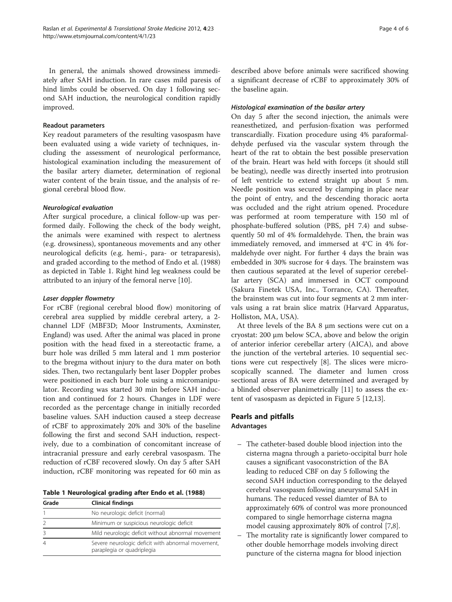In general, the animals showed drowsiness immediately after SAH induction. In rare cases mild paresis of hind limbs could be observed. On day 1 following second SAH induction, the neurological condition rapidly improved.

#### Readout parameters

Key readout parameters of the resulting vasospasm have been evaluated using a wide variety of techniques, including the assessment of neurological performance, histological examination including the measurement of the basilar artery diameter, determination of regional water content of the brain tissue, and the analysis of regional cerebral blood flow.

### Neurological evaluation

After surgical procedure, a clinical follow-up was performed daily. Following the check of the body weight, the animals were examined with respect to alertness (e.g. drowsiness), spontaneous movements and any other neurological deficits (e.g. hemi-, para- or tetraparesis), and graded according to the method of Endo et al. (1988) as depicted in Table 1. Right hind leg weakness could be attributed to an injury of the femoral nerve [[10\]](#page-5-0).

#### Laser doppler flowmetry

For rCBF (regional cerebral blood flow) monitoring of cerebral area supplied by middle cerebral artery, a 2 channel LDF (MBF3D; Moor Instruments, Axminster, England) was used. After the animal was placed in prone position with the head fixed in a stereotactic frame, a burr hole was drilled 5 mm lateral and 1 mm posterior to the bregma without injury to the dura mater on both sides. Then, two rectangularly bent laser Doppler probes were positioned in each burr hole using a micromanipulator. Recording was started 30 min before SAH induction and continued for 2 hours. Changes in LDF were recorded as the percentage change in initially recorded baseline values. SAH induction caused a steep decrease of rCBF to approximately 20% and 30% of the baseline following the first and second SAH induction, respectively, due to a combination of concomitant increase of intracranial pressure and early cerebral vasospasm. The reduction of rCBF recovered slowly. On day 5 after SAH induction, rCBF monitoring was repeated for 60 min as

Table 1 Neurological grading after Endo et al. (1988)

| Grade | <b>Clinical findings</b>                                                        |
|-------|---------------------------------------------------------------------------------|
|       | No neurologic deficit (normal)                                                  |
|       | Minimum or suspicious neurologic deficit                                        |
|       | Mild neurologic deficit without abnormal movement                               |
|       | Severe neurologic deficit with abnormal movement,<br>paraplegia or quadriplegia |

described above before animals were sacrificed showing a significant decrease of rCBF to approximately 30% of the baseline again.

#### Histological examination of the basilar artery

On day 5 after the second injection, the animals were reanesthetized, and perfusion-fixation was performed transcardially. Fixation procedure using 4% paraformaldehyde perfused via the vascular system through the heart of the rat to obtain the best possible preservation of the brain. Heart was held with forceps (it should still be beating), needle was directly inserted into protrusion of left ventricle to extend straight up about 5 mm. Needle position was secured by clamping in place near the point of entry, and the descending thoracic aorta was occluded and the right atrium opened. Procedure was performed at room temperature with 150 ml of phosphate-buffered solution (PBS, pH 7.4) and subsequently 50 ml of 4% formaldehyde. Then, the brain was immediately removed, and immersed at 4°C in 4% formaldehyde over night. For further 4 days the brain was embedded in 30% sucrose for 4 days. The brainstem was then cautious separated at the level of superior cerebellar artery (SCA) and immersed in OCT compound (Sakura Finetek USA, Inc., Torrance, CA). Thereafter, the brainstem was cut into four segments at 2 mm intervals using a rat brain slice matrix (Harvard Apparatus, Holliston, MA, USA).

At three levels of the BA 8 μm sections were cut on a cryostat: 200 μm below SCA, above and below the origin of anterior inferior cerebellar artery (AICA), and above the junction of the vertebral arteries. 10 sequential sections were cut respectively [[8\]](#page-5-0). The slices were microscopically scanned. The diameter and lumen cross sectional areas of BA were determined and averaged by a blinded observer planimetrically [[11\]](#page-5-0) to assess the extent of vasospasm as depicted in Figure [5](#page-4-0) [[12,13](#page-5-0)].

# Pearls and pitfalls Advantages

- The catheter-based double blood injection into the cisterna magna through a parieto-occipital burr hole causes a significant vasoconstriction of the BA leading to reduced CBF on day 5 following the second SAH induction corresponding to the delayed cerebral vasospasm following aneurysmal SAH in humans. The reduced vessel diamter of BA to approximately 60% of control was more pronounced compared to single hemorrhage cisterna magna model causing approximately 80% of control [[7](#page-4-0)[,8](#page-5-0)].
- The mortality rate is significantly lower compared to other double hemorrhage models involving direct puncture of the cisterna magna for blood injection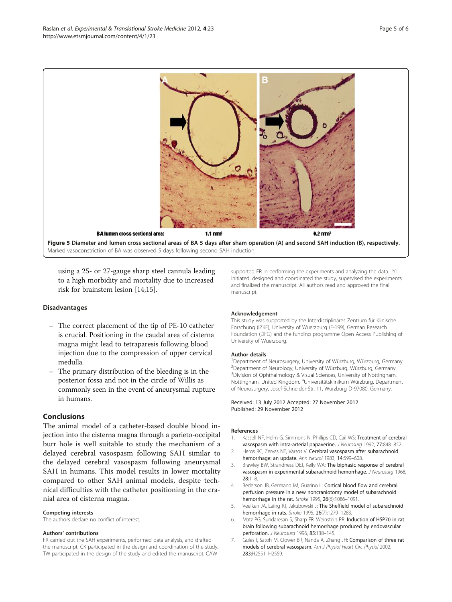<span id="page-4-0"></span>

using a 25- or 27-gauge sharp steel cannula leading to a high morbidity and mortality due to increased risk for brainstem lesion [[14,15](#page-5-0)].

#### Disadvantages

- The correct placement of the tip of PE-10 catheter is crucial. Positioning in the caudal area of cisterna magna might lead to tetraparesis following blood injection due to the compression of upper cervical medulla.
- The primary distribution of the bleeding is in the posterior fossa and not in the circle of Willis as commonly seen in the event of aneurysmal rupture in humans.

# Conclusions

The animal model of a catheter-based double blood injection into the cisterna magna through a parieto-occipital burr hole is well suitable to study the mechanism of a delayed cerebral vasospasm following SAH similar to the delayed cerebral vasospasm following aneurysmal SAH in humans. This model results in lower mortality compared to other SAH animal models, despite technical difficulties with the catheter positioning in the cranial area of cisterna magna.

#### Competing interests

The authors declare no conflict of interest.

#### Authors' contributions

FR carried out the SAH experiments, performed data analysis, and drafted the manuscript. CK participated in the design and coordination of the study. TW participated in the design of the study and edited the manuscript. CAW

supported FR in performing the experiments and analyzing the data. JYL initiated, designed and coordinated the study, supervised the experiments and finalized the manuscript. All authors read and approved the final manuscript.

#### Acknowledgement

This study was supported by the Interdisziplinäres Zentrum für Klinische Forschung (IZKF), University of Wuerzburg (F-199), German Research Foundation (DFG) and the funding programme Open Access Publishing of University of Wuerzburg.

#### Author details

<sup>1</sup>Department of Neurosurgery, University of Würzburg, Würzburg, Germany. <sup>2</sup>Department of Neurology, University of Würzburg, Würzburg, Germany <sup>3</sup> Division of Ophthalmology & Visual Sciences, University of Nottingham Nottingham, United Kingdom. <sup>4</sup>Universitätsklinikum Würzburg, Department of Neurosurgery, Josef-Schneider-Str. 11, Würzburg D-97080, Germany.

#### Received: 13 July 2012 Accepted: 27 November 2012 Published: 29 November 2012

#### References

- 1. Kassell NF, Helm G, Simmons N, Phillips CD, Cail WS: Treatment of cerebral vasospasm with intra-arterial papaverine. J Neurosurg 1992, 77:848–852.
- 2. Heros RC, Zervas NT, Varsos V: Cerebral vasospasm after subarachnoid hemorrhage: an update. Ann Neurol 1983, 14:599–608.
- 3. Brawley BW, Strandness DEJ, Kelly WA: The biphasic response of cerebral vasospasm in experimental subarachnoid hemorrhage. J Neurosurg 1968, 28:1–8.
- 4. Bederson JB, Germano IM, Guarino L: Cortical blood flow and cerebral perfusion pressure in a new noncraniotomy model of subarachnoid hemorrhage in the rat. Stroke 1995, 26(6):1086–1091.
- 5. Veelken JA, Laing RJ, Jakubowski J: The Sheffield model of subarachnoid hemorrhage in rats. Stroke 1995, 26(7):1279–1283.
- 6. Matz PG, Sundaresan S, Sharp FR, Weinstein PR: Induction of HSP70 in rat brain following subarachnoid hemorrhage produced by endovascular perforation. J Neurosurg 1996, 85:138-145.
- 7. Gules I, Satoh M, Clower BR, Nanda A, Zhang JH: Comparison of three rat models of cerebral vasospasm. Am J Physiol Heart Circ Physiol 2002, 283:H2551–H2559.